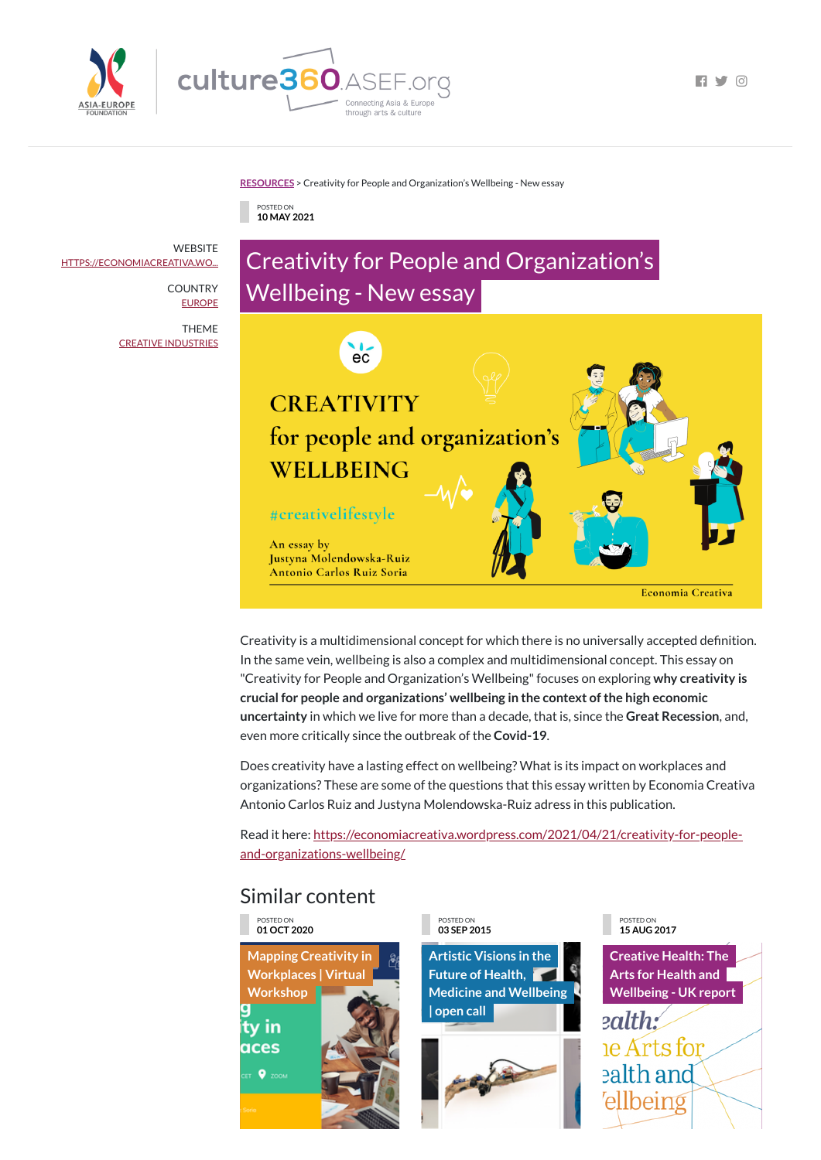

 $\Box$   $\Box$   $\Box$ 

#### **[RESOURCES](https://culture360.asef.org/resources/)** > Creativity for People and Organization's Wellbeing - New essay

# Similar content

POSTED ON **10 MAY 2021**

# Creativity for People and Organization's Wellbeing - New essay



Creativity is a multidimensional concept for which there is no universally accepted definition. In the same vein, wellbeing is also a complex and multidimensional concept. This essay on "Creativity for People and Organization's Wellbeing"focuses on exploring **why creativity is crucial for people and organizations' wellbeing in the context ofthe high economic uncertainty** in which we live for more than a decade, that is, since the **Great Recession**, and, even more critically since the outbreak of the **Covid-19**.

**Mapping Creativity in [Workplaces](https://culture360.asef.org/news-events/mapping-creativity-workplaces-virtual-workshop/) | Virtual Workshop** ity in aces **DET 9** ZOOM

**WEBSITE** [HTTPS://ECONOMIACREATIVA.WO...](https://economiacreativa.wordpress.com/2021/04/21/creativity-for-people-and-organizations-wellbeing/)

> **COUNTRY** [EUROPE](https://culture360.asef.org/countries/europe/)

> > Does creativity have a lasting effect on wellbeing? What is its impact on workplaces and organizations? These are some of the questions that this essay written by Economia Creativa Antonio Carlos Ruiz and Justyna Molendowska-Ruiz adress in this publication.

Read it here: [https://economiacreativa.wordpress.com/2021/04/21/creativity-for-people](https://economiacreativa.wordpress.com/2021/04/21/creativity-for-people-and-organizations-wellbeing/)and-organizations-wellbeing/

POSTED ON **01 OCT 2020**

#### POSTED ON **03 SEP 2015**

**Artistic Visions in the Future of Health, Medicine and [Wellbeing](https://culture360.asef.org/opportunities/artistic-visions-future-health-medicine-and-wellbeing-open-call/)**

### **| open call**



#### POSTED ON **15 AUG 2017**

**Creative Health: The Arts for Health and [Wellbeing](https://culture360.asef.org/resources/creative-health-arts-health-and-wellbeing-uk-report/) - UK report**

ealth: e Arts for ealth and ellbeing

THEME CREATIVE [INDUSTRIES](https://culture360.asef.org/themes/creative-industries/)